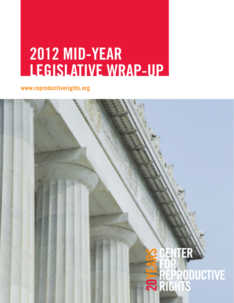## **2012 MID-YEAR LEGISLATIVE WRAP-UP**

**www.reproductiverights.org**

# **ENTER REPRODUCTIVE**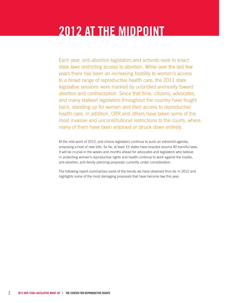## **2012 At the Midpoint**

Each year, anti-abortion legislators and activists seek to enact state laws restricting access to abortion. While over the last few years there has been an increasing hostility to women's access to a broad range of reproductive health care, the 2011 state legislative sessions were marked by unbridled animosity toward abortion and contraception. Since that time, citizens, advocates, and many stalwart legislators throughout the country have fought back, standing up for women and their access to reproductive health care. In addition, CRR and others have taken some of the most invasive and unconstitutional restrictions to the courts, where many of them have been enjoined or struck down entirely.

At the mid-point of 2012, anti-choice legislators continue to push an extremist agenda, proposing a host of new bills. So far, at least 15 states have enacted around 40 harmful laws. It will be crucial in the weeks and months ahead for advocates and legislators who believe in protecting women's reproductive rights and health continue to work against the hostile, anti-abortion, anti-family planning proposals currently under consideration.

The following report summarizes some of the trends we have observed thus far in 2012 and highlights some of the most damaging proposals that have become law this year.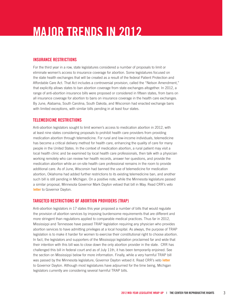## **MAJOR TRENDS IN 2012**

#### **Insurance Restrictions**

For the third year in a row, state legislatures considered a number of proposals to limit or eliminate women's access to insurance coverage for abortion. Some legislatures focused on the state health exchanges that will be created as a result of the federal Patient Protection and Affordable Care Act. That Act includes a controversial provision, called the "Nelson Amendment," that explicitly allows states to ban abortion coverage from state exchanges altogether. In 2012, a range of anti-abortion insurance bills were proposed or considered in fifteen states, from bans on all insurance coverage for abortion to bans on insurance coverage in the health care exchanges. By June, Alabama, South Carolina, South Dakota, and Wisconsin had enacted exchange bans with limited exceptions, with similar bills pending in at least four states.

#### **Telemedicine restrictions**

Anti-abortion legislators sought to limit women's access to medication abortion in 2012, with at least nine states considering proposals to prohibit health care providers from providing medication abortion through telemedicine. For rural and low-income individuals, telemedicine has become a critical delivery method for health care, enhancing the quality of care for many people in the United States. In the context of medication abortion, a rural patient may visit a local health clinic and be examined by local health care professionals, then talk with a physician working remotely who can review her health records, answer her questions, and provide the medication abortion while an on-site health care professional remains in the room to provide additional care. As of June, Wisconsin had banned the use of telemedicine for medication abortion, Oklahoma had added further restrictions to its existing telemedicine ban, and another such bill is still pending in Michigan. On a positive note, while the Minnesota legislature passed a similar proposal, Minnesota Governor Mark Dayton vetoed that bill in May. Read CRR's veto **[letter](http://reproductiverights.org/en/document/veto-letter-to-mn-governor-mark-dayton-house-bill-2341)** to Governor Dayton.

#### **Targeted Restrictions of Abortion Providers (TRAP)**

Anti-abortion legislators in 17 states this year proposed a number of bills that would regulate the provision of abortion services by imposing burdensome requirements that are different and more stringent than regulations applied to comparable medical practices. Thus far in 2012, Mississippi and Tennessee have passed TRAP legislation requiring any physician who provides abortion services to have admitting privileges at a local hospital. As always, the purpose of TRAP legislation is to make it harder for women to exercise their constitutional right to choose abortion. In fact, the legislators and supporters of the Mississippi legislation proclaimed far and wide that their intention with this bill was to close down the only abortion provider in the state. CRR has challenged this bill in federal court and as of July 11th, it has been temporarily enjoined. See the section on Mississippi below for more information. Finally, while a very harmful TRAP bill was passed by the Minnesota legislature, Governor Dayton vetoed it. Read CRR's veto **[letter](http://reproductiverights.org/en/document/veto-letter-to-mn-governor-mark-dayton-senate-bill-1921)** to Governor Dayton. Although most legislatures have adjourned for the time being, Michigan legislators currently are considering several harmful TRAP bills.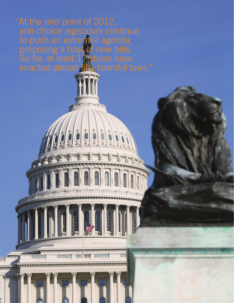anti-choice legislators continue to push an extremist agenda, proposing a host of new bills. So far, at least  $17$  states have enacted almost **fifty** harmful laws."









4 **2012 MID-YEAR legislative wrap-up | THE CENTER FOR REPRODUCTIVE RIGHTS**

W

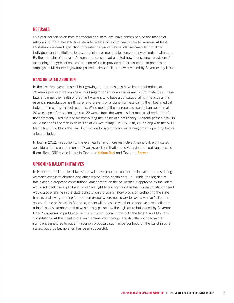#### **Refusals**

This year politicians on both the federal and state level have hidden behind the mantle of religion and moral belief to take steps to reduce access to health care for women. At least 14 states considered legislation to create or expand "refusal clauses"— bills that allow individuals and institutions to assert religious or moral objections to deny patients health care. By the midpoint of the year, Arizona and Kansas had enacted new "conscience provisions," expanding the types of entities that can refuse to provide care or insurance to patients or employees. Missouri's legislature passed a similar bill, but it was vetoed by Governor Jay Nixon.

#### **Bans on Later Abortion**

In the last three years, a small but growing number of states have banned abortions at 20 weeks post-fertilization age without regard for an individual woman's circumstances. These laws endanger the health of pregnant women, who have a constitutional right to access this essential reproductive health care, and prevent physicians from exercising their best medical judgment in caring for their patients. While most of these proposals seek to ban abortion at 20 weeks post-fertilization age (i.e. 22 weeks from the woman's last menstrual period (lmp), the commonly used method for computing the length of a pregnancy), Arizona passed a law in 2012 that bans abortion even earlier, at 20 weeks lmp. On July 12th, CRR along with the ACLU filed a lawsuit to block this law. Our motion for a temporary restraining order is pending before a federal judge.

In total in 2012, in addition to the even earlier and more restrictive Arizona bill, eight states considered bans on abortion at 20 weeks post-fertilization and Georgia and Louisiana passed them. Read CRR's veto letters to Governor **[Nathan](http://reproductiverights.org/en/document/veto-letter-to-ga-governor-nathan-deal-house-bill-954) Deal** and Governor **[Brewer](http://reproductiverights.org/en/document/veto-letter-to-az-governor-jan-brewer-house-bill-2036)**.

#### **Upcoming Ballot Initiatives**

In November 2012, at least two states will have proposals on their ballots aimed at restricting women's access to abortion and other reproductive health care. In Florida, the legislature has placed a proposed constitutional amendment on the ballot that, if approved by the voters, would roll back the explicit and protective right to privacy found in the Florida constitution and would also enshrine in the state constitution a discriminatory provision prohibiting the state from ever allowing funding for abortion except where necessary to save a woman's life or in cases of rape or incest. In Montana, voters will be asked whether to approve a restriction on minor's access to abortion that was initially passed by the legislature but vetoed by Governor Brian Schweitzer in part because it is unconstitutional under both the federal and Montana constitutions. At this point in the year, anti-abortion groups are still attempting to gather sufficient signatures to put anti-abortion proposals such as personhood on the ballot in other states, but thus far, no effort has been successful.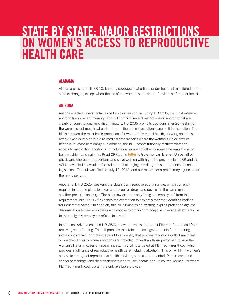### **STATE BY STATE: MAJOR RESTRICTIONS ON WOMEN's access TO Reproductive Health Care**

#### **Alabama**

Alabama passed a bill, SB 10, banning coverage of abortions under health plans offered in the state exchanges, except when the life of the woman is at risk and for victims of rape or incest.

#### **Arizona**

Arizona enacted several anti-choice bills this session, including HB 2036, the most extreme abortion law in recent memory. This bill contains several restrictions on abortion that are clearly unconstitutional and discriminatory. HB 2036 prohibits abortions after 20 weeks from the woman's last menstrual period (lmp)—the earliest gestational age limit in the nation. The bill lacks even the most basic protections for women's lives and health, allowing abortions after 20 weeks lmp only in dire medical emergencies where the woman's life or physical health is in *immediate* danger. In addition, the bill unconstitutionally restricts women's access to medication abortion and includes a number of other burdensome regulations on both providers and patients. Read CRR's veto **[letter](http://reproductiverights.org/en/document/veto-letter-to-az-governor-jan-brewer-house-bill-2036)** to Governor Jan Brewer. On behalf of physicians who perform abortions and serve women with high-risk pregnancies, CRR and the ACLU have filed a lawsuit in federal court challenging this dangerous and unconstitutional legislation. The suit was filed on July 12, 2012, and our motion for a preliminary injunction of the law is pending.

Another bill, HB 2625, weakens the state's contraceptive equity statute, which currently requires insurance plans to cover contraceptive drugs and devices in the same manner as other prescription drugs. The older law exempts only "religious employers" from this requirement, but HB 2625 expands the exemption to any employer that identifies itself as "religiously motivated." In addition, this bill eliminates an existing, explicit protection against discrimination toward employees who choose to obtain contraceptive coverage elsewhere due to their religious employer's refusal to cover it.

In addition, Arizona enacted HB 2800, a law that seeks to prohibit Planned Parenthood from receiving state funding. The bill prohibits the state and local governments from entering into a contract with or making a grant to any entity that provides abortions or that maintains or operates a facility where abortions are provided, other than those performed to save the woman's life or in cases of rape or incest. This bill is targeted at Planned Parenthood, which provides a full range of reproductive health care including abortion. This bill will limit women's access to a range of reproductive health services, such as birth control, Pap smears, and cancer screenings, and disproportionately harm low-income and uninsured women, for whom Planned Parenthood is often the only available provider.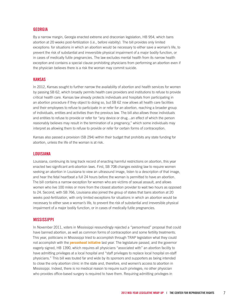#### **Georgia**

By a narrow margin, Georgia enacted extreme and draconian legislation, HB 954, which bans abortion at 20 weeks post-fertilization (i.e., before viability). The bill provides only limited exceptions: for situations in which an abortion would be necessary to either save a woman's life, to prevent the risk of substantial and irreversible physical impairment of a major bodily function, or in cases of medically futile pregnancies. The law excludes mental health from its narrow health exception and contains a special clause prohibiting physicians from performing an abortion even if the physician believes there is a risk the woman may commit suicide.

#### **Kansas**

In 2012, Kansas sought to further narrow the availability of abortion and health services for women by passing SB 62, which broadly permits health care providers and institutions to refuse to provide critical health care. Kansas law already protects individuals and hospitals from participating in an abortion procedure if they object to doing so, but SB 62 now allows all health care facilities and their employees to refuse to participate in or refer for an abortion, reaching a broader group of individuals, entities and activities than the previous law. The bill also allows those individuals and entities to refuse to provide or refer for "any device or drug…an effect of which the person reasonably believes may result in the termination of a pregnancy," which some individuals may interpret as allowing them to refuse to provide or refer for certain forms of contraception.

Kansas also passed a provision (SB 294) within their budget that prohibits any state funding for abortion, unless the life of the woman is at risk.

#### **Louisiana**

Louisiana, continuing its long track record of enacting harmful restrictions on abortion, this year enacted two significant anti-abortion laws. First, SB 708 changes existing law to require women seeking an abortion in Louisiana to view an ultrasound image, listen to a description of that image, and hear the fetal heartbeat a full 24 hours before the woman is permitted to have an abortion. The bill contains a narrow exception for women who are victims of sexual assault, and allows women who live 100 miles or more from the closest abortion provider to wait two hours as opposed to 24. Second, with SB 766, Louisiana also joined the group of states that bans abortion at 20 weeks post-fertilization, with only limited exceptions for situations in which an abortion would be necessary to either save a woman's life, to prevent the risk of substantial and irreversible physical impairment of a major bodily function, or in cases of medically futile pregnancies.

#### **Mississippi**

In November 2011, voters in Mississippi resoundingly rejected a "personhood" proposal that could have banned abortion, as well as common forms of contraception and some fertility treatments. This year, politicians in Mississippi tried to accomplish through TRAP legislation what they could not accomplish with the **[personhood initiative](http://reproductiverights.org/en/press-room/mississippi-rejects-dangerous-personhood-amendment)** last year. The legislature passed, and the governor eagerly signed, HB 1390, which requires all physicians "associated with" an abortion facility to have admitting privileges at a local hospital and "staff privileges to replace local hospital on-staff physicians." This bill was touted far and wide by its sponsors and supporters as being intended to close the only abortion clinic in the state and, therefore, end women's access to abortion in Mississippi. Indeed, there is no medical reason to require such privileges; no other physician who provides office-based surgery is required to have them. Requiring admitting privileges in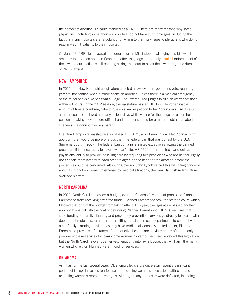the context of abortion is clearly intended as a TRAP. There are many reasons why some physicians, including some abortion providers, do not have such privileges, including the fact that many hospitals are reluctant or unwilling to grant privileges to physicians who do not regularly admit patients to their hospital.

On June 27, CRR filed a lawsuit in federal court in Mississippi challenging this bill, which amounts to a ban on abortion Soon thereafter, the judge temporarily **[blocked](http://reproductiverights.org/en/feature/rachel-maddow-covers-mississippis-last-clinic)** enforcement of the law and our motion is still pending asking the court to block the law through the duration of CRR's lawsuit.

#### **New Hampshire**

In 2011, the New Hampshire legislature enacted a law, over the governor's veto, requiring parental notification when a minor seeks an abortion, unless there is a medical emergency or the minor seeks a waiver from a judge. The law required judges to rule on waiver petitions within 48 hours. In the 2012 session, the legislature passed HB 1723, lengthening the amount of time a court may take to rule on a waiver petition to two "court days." As a result, a minor could be delayed as many as four days while waiting for the judge to rule on her petition—making it even more difficult and time-consuming for a minor to obtain an abortion if she feels she cannot involve a parent.

The New Hampshire legislature also passed HB 1679, a bill banning so-called "partial birth abortion" that would be more onerous than the federal ban that was upheld by the U.S. Supreme Court in 2007. The federal ban contains a limited exception allowing the banned procedure if it is necessary to save a woman's life. HB 1679 further restricts and delays physicians' ability to provide lifesaving care by requiring two physicians who are neither legally nor financially affiliated with each other to agree on the need for the abortion before the procedure could be performed. Although Governor John Lynch vetoed this bill, citing concerns about its impact on women in emergency medical situations, the New Hampshire legislature overrode his veto.

#### **North Carolina**

In 2011, North Carolina passed a budget, over the Governor's veto, that prohibited Planned Parenthood from receiving any state funds. Planned Parenthood took the state to court, which blocked that part of the budget from taking effect. This year, the legislature passed another appropriations bill with the goal of defunding Planned Parenthood. HB 950 requires that state funding for family planning and pregnancy prevention services go directly to local health department recipients, rather than permitting the state or local departments to contract with other family planning providers as they have traditionally done. As noted earlier, Planned Parenthood provides a full range of reproductive health care services and is often the only provider of these services for low-income women. Governor Bev Perdue vetoed this legislation, but the North Carolina overrode her veto, enacting into law a budget that will harm the many women who rely on Planned Parenthood for services.

#### **Oklahoma**

As it has for the last several years, Oklahoma's legislature once again spent a significant portion of its legislative session focused on reducing women's access to health care and restricting women's reproductive rights. Although many proposals were defeated, including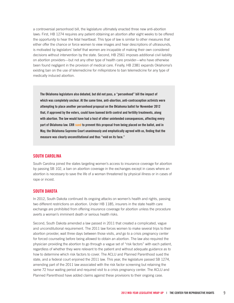a controversial personhood bill, the legislature ultimately enacted three new anti-abortion laws: First, HB 1274 requires any patient obtaining an abortion after eight weeks to be offered the opportunity to hear the fetal heartbeat. This type of law is similar to other measures that either offer the chance or force women to view images and hear descriptions of ultrasounds, is motivated by legislators' belief that women are incapable of making their own considered decisions without intervention by the state. Second, HB 2561 imposes additional civil liability on abortion providers—but not any other type of health care provider—who have otherwise been found negligent in the provision of medical care. Finally, HB 2381 expands Oklahoma's existing ban on the use of telemedicine for mifepristone to ban telemedicine for any type of medically induced abortion.

**The Oklahoma legislature also debated, but did not pass, a "personhood" bill the impact of which was completely unclear. At the same time, anti-abortion, anti-contraception activists were attempting to place another personhood proposal on the Oklahoma ballot for November 2012 that, if approved by the voters, could have banned birth control and fertility treatments, along with abortion. The law would have had a host of other unintended consequences, affecting every part of Oklahoma law. CRR [sued](http://reproductiverights.org/en/case/in-re-initiative-petition-395-state-question-no-761-ok-personhood) to prevent this proposal from being placed on the ballot, and in May, the Oklahoma Supreme Court unanimously and emphatically agreed with us, finding that the measure was clearly unconstitutional and thus "void on its face."**

#### **South Carolina**

South Carolina joined the states targeting women's access to insurance coverage for abortion by passing SB 102, a ban on abortion coverage in the exchanges except in cases where an abortion is necessary to save the life of a woman threatened by physical illness or in cases of rape or incest.

#### **South Dakota**

In 2012, South Dakota continued its ongoing attacks on women's health and rights, passing two different restrictions on abortion. Under HB 1185, insurers in the state health care exchange are prohibited from offering insurance coverage for abortion unless the procedure averts a woman's imminent death or serious health risks.

Second, South Dakota amended a law passed in 2011 that created a complicated, vague and unconstitutional requirement. The 2011 law forces women to make several trips to their abortion provider, wait three days between those visits, *and* go to a crisis pregnancy center for forced counseling before being allowed to obtain an abortion. The law also required the physician providing the abortion to go through a vague set of "risk factors" with each patient, regardless of whether they were relevant to the patient and without adequate guidance as to how to determine which risk factors to cover. The ACLU and Planned Parenthood sued the state, and a federal court enjoined the 2011 law. This year, the legislature passed SB 1274, amending part of the 2011 law associated with the risk factor screening but retaining the same 72 hour waiting period and required visit to a crisis pregnancy center. The ACLU and Planned Parenthood have added claims against these provisions to their ongoing case.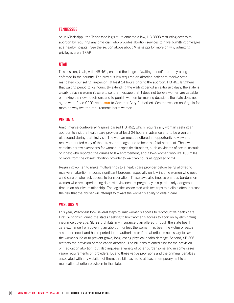#### **Tennessee**

As in Mississippi, the Tennessee legislature enacted a law, HB 3808 restricting access to abortion by requiring any physician who provides abortion services to have admitting privileges at a nearby hospital. See the section above about Mississippi for more on why admitting privileges are a TRAP.

#### **Utah**

This session, Utah, with HB 461, enacted the longest "waiting period" currently being enforced in the country. The previous law required an abortion patient to receive statemandated counseling, in-person, at least 24 hours prior to the abortion. HB 461 lengthens that waiting period to 72 hours. By extending the waiting period an extra *two* days, the state is clearly delaying women's care to send a message that it does not believe women are capable of making their own decisions and to punish women for making decisions the state does not agree with. Read CRR's veto **[letter](http://reproductiverights.org/en/document/veto-letter-to-ut-governor-gary-r-herbert-house-bill-461)** to Governor Gary R. Herbert. See the section on Virginia for more on why two-trip requirements harm women.

#### **Virginia**

Amid intense controversy, Virginia passed HB 462, which requires any woman seeking an abortion to visit the health care provider at least 24 hours in advance and to be given an ultrasound during that first visit. The woman must be offered an opportunity to view and receive a printed copy of the ultrasound image, and to hear the fetal heartbeat. The law contains narrow exceptions for women in specific situations, such as victims of sexual assault or incest who reported the crimes to law enforcement, and allows women who live 100 miles or more from the closest abortion provider to wait two hours as opposed to 24.

Requiring women to make multiple trips to a health care provider before being allowed to receive an abortion imposes significant burdens, especially on low-income women who need child care or who lack access to transportation. These laws also impose onerous burdens on women who are experiencing domestic violence, as pregnancy is a particularly dangerous time in an abusive relationship. The logistics associated with two trips to a clinic often increase the risk that the abuser will attempt to thwart the woman's ability to obtain care.

#### **Wisconsin**

This year, Wisconsin took several steps to limit women's access to reproductive health care. First, Wisconsin joined the states seeking to limit women's access to abortion by eliminating insurance coverage. SB 92 prohibits any insurance plan offered through the state health care exchange from covering an abortion, unless the woman has been the victim of sexual assault or incest and has reported to the authorities or if the abortion is necessary to save the woman's life or to prevent grave, long-lasting physical health damage. Second, SB 306 restricts the provision of medication abortion. The bill bans telemedicine for the provision of medication abortion, but also imposes a variety of other burdensome and in some cases, vague requirements on providers. Due to these vague provisions and the criminal penalties associated with any violation of them, this bill has led to at least a temporary halt to all medication abortion provision in the state.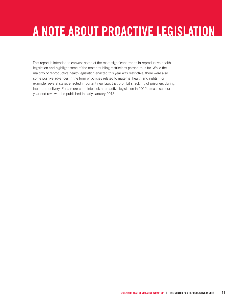## **A Note About Proactive Legislation**

This report is intended to canvass some of the more significant trends in reproductive health legislation and highlight some of the most troubling restrictions passed thus far. While the majority of reproductive health legislation enacted this year was restrictive, there were also some positive advances in the form of policies related to maternal health and rights. For example, several states enacted important new laws that prohibit shackling of prisoners during labor and delivery. For a more complete look at proactive legislation in 2012, please see our year-end review to be published in early January 2013.